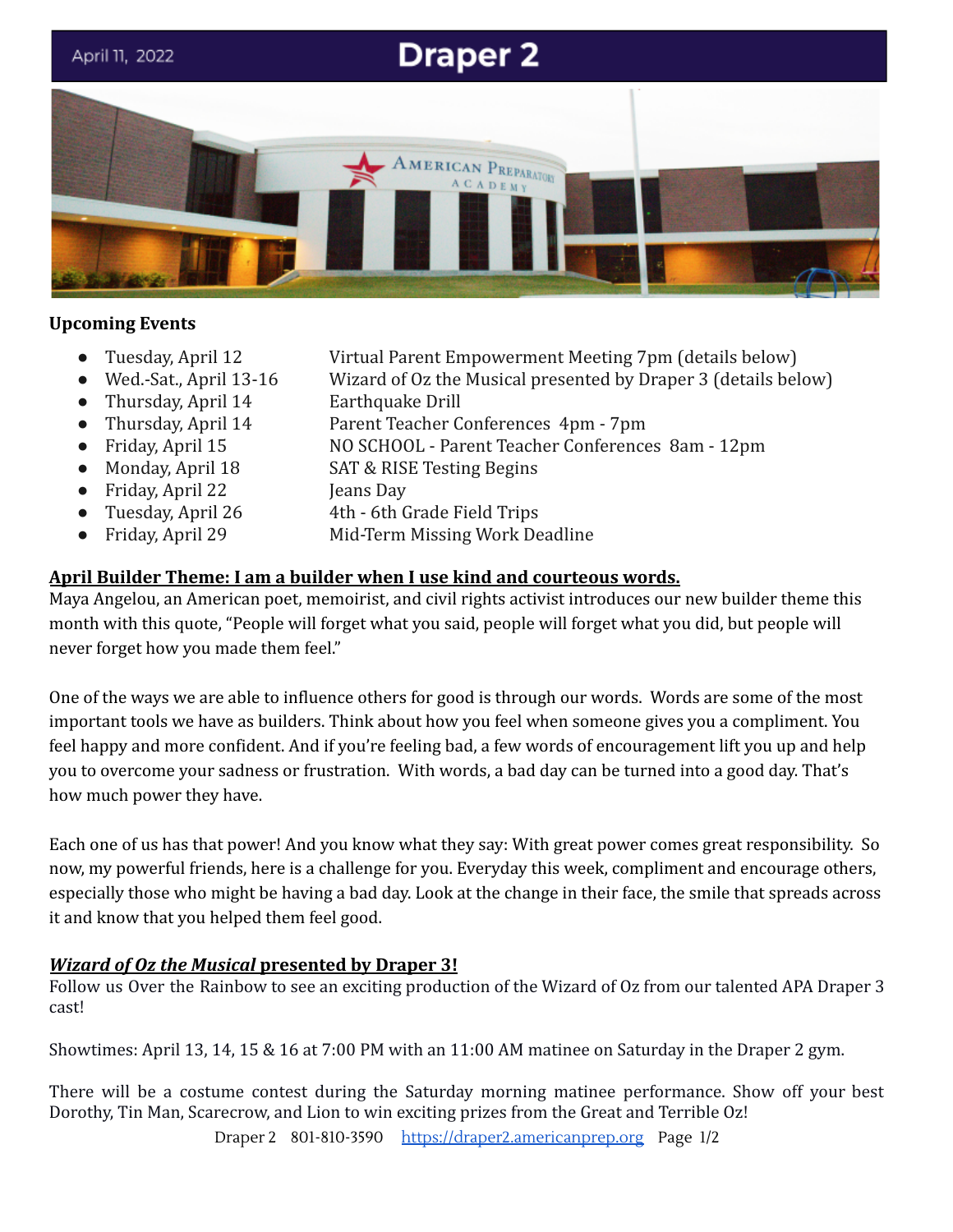

### **Upcoming Events**

- 
- 
- 
- 
- 
- 
- 
- 
- 
- Tuesday, April 12 Virtual Parent Empowerment Meeting 7pm (details below)
- Wed.-Sat., April 13-16 Wizard of Oz the Musical presented by Draper 3 (details below)
- Thursday, April 14 Earthquake Drill
- Thursday, April 14 Parent Teacher Conferences 4pm 7pm
- Friday, April 15 NO SCHOOL Parent Teacher Conferences 8am 12pm
- Monday, April 18 SAT & RISE Testing Begins
- Friday, April 22 Jeans Day
- Tuesday, April 26 4th 6th Grade Field Trips
- Friday, April 29 Mid-Term Missing Work Deadline

## **April Builder Theme: I am a builder when I use kind and courteous words.**

Maya Angelou, an American poet, memoirist, and civil rights activist introduces our new builder theme this month with this quote, "People will forget what you said, people will forget what you did, but people will never forget how you made them feel."

One of the ways we are able to influence others for good is through our words. Words are some of the most important tools we have as builders. Think about how you feel when someone gives you a compliment. You feel happy and more confident. And if you're feeling bad, a few words of encouragement lift you up and help you to overcome your sadness or frustration. With words, a bad day can be turned into a good day. That's how much power they have.

Each one of us has that power! And you know what they say: With great power comes great responsibility. So now, my powerful friends, here is a challenge for you. Everyday this week, compliment and encourage others, especially those who might be having a bad day. Look at the change in their face, the smile that spreads across it and know that you helped them feel good.

# *Wizard of Oz the Musical* **presented by Draper 3!**

Follow us Over the Rainbow to see an exciting production of the Wizard of Oz from our talented APA Draper 3 cast!

Showtimes: April 13, 14, 15 & 16 at 7:00 PM with an 11:00 AM matinee on Saturday in the Draper 2 gym.

There will be a costume contest during the Saturday morning matinee performance. Show off your best Dorothy, Tin Man, Scarecrow, and Lion to win exciting prizes from the Great and Terrible Oz!

Draper 2 801-810-3590 [https://draper2.americanprep.org](https://draper2.americanprep.org/) Page 1/2